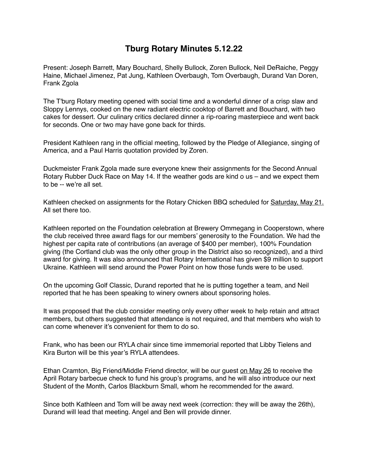## **Tburg Rotary Minutes 5.12.22**

Present: Joseph Barrett, Mary Bouchard, Shelly Bullock, Zoren Bullock, Neil DeRaiche, Peggy Haine, Michael Jimenez, Pat Jung, Kathleen Overbaugh, Tom Overbaugh, Durand Van Doren, Frank Zgola

The T'burg Rotary meeting opened with social time and a wonderful dinner of a crisp slaw and Sloppy Lennys, cooked on the new radiant electric cooktop of Barrett and Bouchard, with two cakes for dessert. Our culinary critics declared dinner a rip-roaring masterpiece and went back for seconds. One or two may have gone back for thirds.

President Kathleen rang in the official meeting, followed by the Pledge of Allegiance, singing of America, and a Paul Harris quotation provided by Zoren.

Duckmeister Frank Zgola made sure everyone knew their assignments for the Second Annual Rotary Rubber Duck Race on May 14. If the weather gods are kind o us – and we expect them to be -- we're all set.

Kathleen checked on assignments for the Rotary Chicken BBQ scheduled for Saturday, May 21. All set there too.

Kathleen reported on the Foundation celebration at Brewery Ommegang in Cooperstown, where the club received three award flags for our members' generosity to the Foundation. We had the highest per capita rate of contributions (an average of \$400 per member), 100% Foundation giving (the Cortland club was the only other group in the District also so recognized), and a third award for giving. It was also announced that Rotary International has given \$9 million to support Ukraine. Kathleen will send around the Power Point on how those funds were to be used.

On the upcoming Golf Classic, Durand reported that he is putting together a team, and Neil reported that he has been speaking to winery owners about sponsoring holes.

It was proposed that the club consider meeting only every other week to help retain and attract members, but others suggested that attendance is not required, and that members who wish to can come whenever it's convenient for them to do so.

Frank, who has been our RYLA chair since time immemorial reported that Libby Tielens and Kira Burton will be this year's RYLA attendees.

Ethan Cramton, Big Friend/Middle Friend director, will be our guest on May 26 to receive the April Rotary barbecue check to fund his group's programs, and he will also introduce our next Student of the Month, Carlos Blackburn Small, whom he recommended for the award.

Since both Kathleen and Tom will be away next week (correction: they will be away the 26th), Durand will lead that meeting. Angel and Ben will provide dinner.